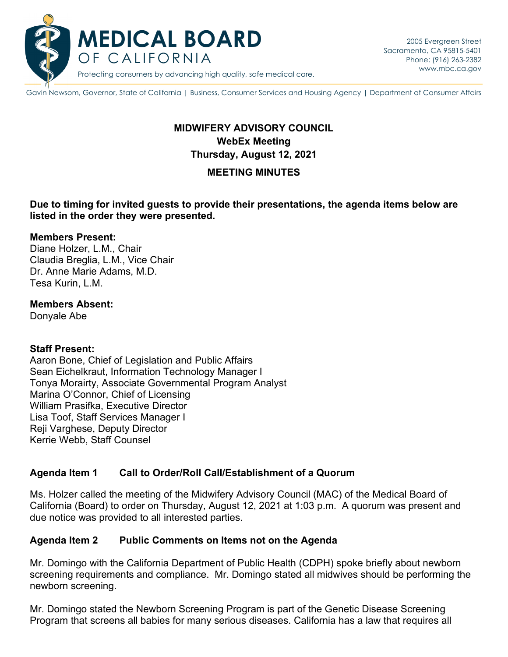

Protecting consumers by advancing high quality, safe medical care.

Gavin Newsom, Governor, State of California | Business, Consumer Services and Housing Agency | Department of Consumer Affairs

# **WebEx Meeting MIDWIFERY ADVISORY COUNCIL Thursday, August 12, 2021**

#### **MEETING MINUTES**

#### **Due to timing for invited guests to provide their presentations, the agenda items below are listed in the order they were presented.**

#### **Members Present:**

Diane Holzer, L.M., Chair Claudia Breglia, L.M., Vice Chair Dr. Anne Marie Adams, M.D. Tesa Kurin, L.M.

#### **Members Absent:**

Donyale Abe

#### **Staff Present:**

 Tonya Morairty, Associate Governmental Program Analyst Aaron Bone, Chief of Legislation and Public Affairs Sean Eichelkraut, Information Technology Manager I Marina O'Connor, Chief of Licensing William Prasifka, Executive Director Lisa Toof, Staff Services Manager I Reji Varghese, Deputy Director Kerrie Webb, Staff Counsel

### **Agenda Item 1 Call to Order/Roll Call/Establishment of a Quorum**

 California (Board) to order on Thursday, August 12, 2021 at 1:03 p.m. A quorum was present and Ms. Holzer called the meeting of the Midwifery Advisory Council (MAC) of the Medical Board of due notice was provided to all interested parties.

#### **Agenda Item 2 Public Comments on Items not on the Agenda**

 Mr. Domingo with the California Department of Public Health (CDPH) spoke briefly about newborn screening requirements and compliance. Mr. Domingo stated all midwives should be performing the newborn screening.

Mr. Domingo stated the Newborn Screening Program is part of the Genetic Disease Screening Program that screens all babies for many serious diseases. California has a law that requires all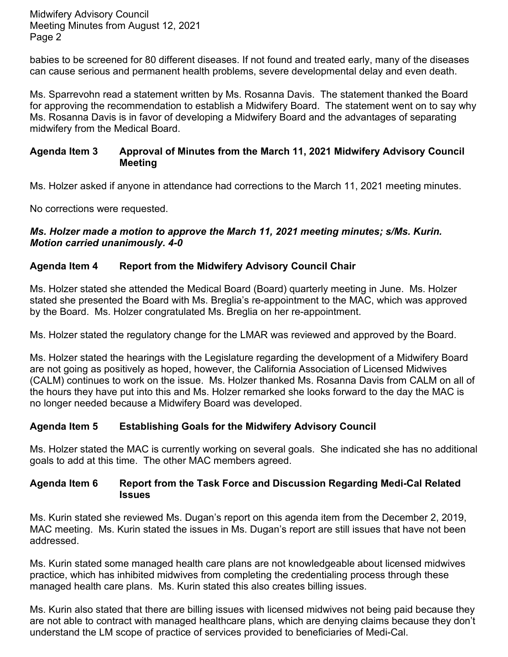Page 2 Midwifery Advisory Council Meeting Minutes from August 12, 2021

 babies to be screened for 80 different diseases. If not found and treated early, many of the diseases can cause serious and permanent health problems, severe developmental delay and even death.

 for approving the recommendation to establish a Midwifery Board. The statement went on to say why Ms. Sparrevohn read a statement written by Ms. Rosanna Davis. The statement thanked the Board Ms. Rosanna Davis is in favor of developing a Midwifery Board and the advantages of separating midwifery from the Medical Board.

## **Agenda Item 3 Approval of Minutes from the March 11, 2021 Midwifery Advisory Council Meeting**

Ms. Holzer asked if anyone in attendance had corrections to the March 11, 2021 meeting minutes.

No corrections were requested.

#### *Ms. Holzer made a motion to approve the March 11, 2021 meeting minutes; s/Ms. Kurin. Motion carried unanimously. 4-0*

## **Agenda Item 4 Report from the Midwifery Advisory Council Chair**

Ms. Holzer stated she attended the Medical Board (Board) quarterly meeting in June. Ms. Holzer stated she presented the Board with Ms. Breglia's re-appointment to the MAC, which was approved by the Board. Ms. Holzer congratulated Ms. Breglia on her re-appointment.

Ms. Holzer stated the regulatory change for the LMAR was reviewed and approved by the Board.

 are not going as positively as hoped, however, the California Association of Licensed Midwives (CALM) continues to work on the issue. Ms. Holzer thanked Ms. Rosanna Davis from CALM on all of Ms. Holzer stated the hearings with the Legislature regarding the development of a Midwifery Board the hours they have put into this and Ms. Holzer remarked she looks forward to the day the MAC is no longer needed because a Midwifery Board was developed.

## **Agenda Item 5 Establishing Goals for the Midwifery Advisory Council**

 goals to add at this time. The other MAC members agreed. Ms. Holzer stated the MAC is currently working on several goals. She indicated she has no additional

#### **Agenda Item 6 Report from the Task Force and Discussion Regarding Medi-Cal Related Issues**

 Ms. Kurin stated she reviewed Ms. Dugan's report on this agenda item from the December 2, 2019, addressed. MAC meeting. Ms. Kurin stated the issues in Ms. Dugan's report are still issues that have not been

Ms. Kurin stated some managed health care plans are not knowledgeable about licensed midwives practice, which has inhibited midwives from completing the credentialing process through these managed health care plans. Ms. Kurin stated this also creates billing issues.

 are not able to contract with managed healthcare plans, which are denying claims because they don't Ms. Kurin also stated that there are billing issues with licensed midwives not being paid because they understand the LM scope of practice of services provided to beneficiaries of Medi-Cal.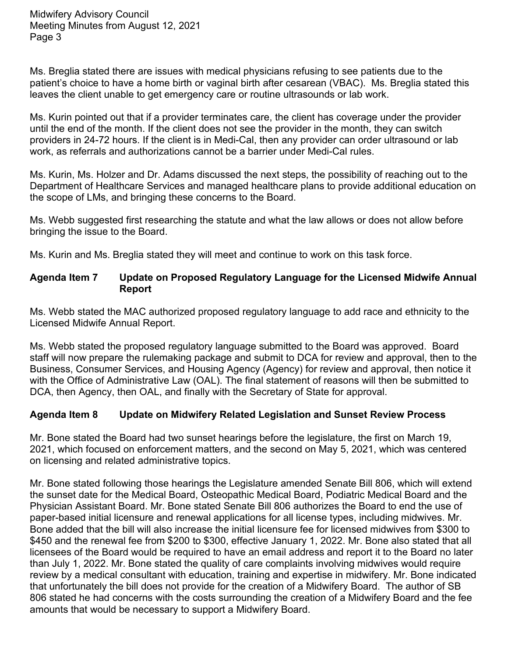Page 3 Midwifery Advisory Council Meeting Minutes from August 12, 2021

Ms. Breglia stated there are issues with medical physicians refusing to see patients due to the patient's choice to have a home birth or vaginal birth after cesarean (VBAC). Ms. Breglia stated this leaves the client unable to get emergency care or routine ultrasounds or lab work.

Ms. Kurin pointed out that if a provider terminates care, the client has coverage under the provider until the end of the month. If the client does not see the provider in the month, they can switch providers in 24-72 hours. If the client is in Medi-Cal, then any provider can order ultrasound or lab work, as referrals and authorizations cannot be a barrier under Medi-Cal rules.

 Ms. Kurin, Ms. Holzer and Dr. Adams discussed the next steps, the possibility of reaching out to the Department of Healthcare Services and managed healthcare plans to provide additional education on the scope of LMs, and bringing these concerns to the Board.

Ms. Webb suggested first researching the statute and what the law allows or does not allow before bringing the issue to the Board.

Ms. Kurin and Ms. Breglia stated they will meet and continue to work on this task force.

### **Agenda Item 7 Update on Proposed Regulatory Language for the Licensed Midwife Annual Report**

Ms. Webb stated the MAC authorized proposed regulatory language to add race and ethnicity to the Licensed Midwife Annual Report.

 Ms. Webb stated the proposed regulatory language submitted to the Board was approved. Board staff will now prepare the rulemaking package and submit to DCA for review and approval, then to the Business, Consumer Services, and Housing Agency (Agency) for review and approval, then notice it with the Office of Administrative Law (OAL). The final statement of reasons will then be submitted to DCA, then Agency, then OAL, and finally with the Secretary of State for approval.

## **Agenda Item 8 Update on Midwifery Related Legislation and Sunset Review Process**

 on licensing and related administrative topics. Mr. Bone stated the Board had two sunset hearings before the legislature, the first on March 19, 2021, which focused on enforcement matters, and the second on May 5, 2021, which was centered

 Mr. Bone stated following those hearings the Legislature amended Senate Bill 806, which will extend \$450 and the renewal fee from \$200 to \$300, effective January 1, 2022. Mr. Bone also stated that all licensees of the Board would be required to have an email address and report it to the Board no later amounts that would be necessary to support a Midwifery Board. the sunset date for the Medical Board, Osteopathic Medical Board, Podiatric Medical Board and the Physician Assistant Board. Mr. Bone stated Senate Bill 806 authorizes the Board to end the use of paper-based initial licensure and renewal applications for all license types, including midwives. Mr. Bone added that the bill will also increase the initial licensure fee for licensed midwives from \$300 to than July 1, 2022. Mr. Bone stated the quality of care complaints involving midwives would require review by a medical consultant with education, training and expertise in midwifery. Mr. Bone indicated that unfortunately the bill does not provide for the creation of a Midwifery Board. The author of SB 806 stated he had concerns with the costs surrounding the creation of a Midwifery Board and the fee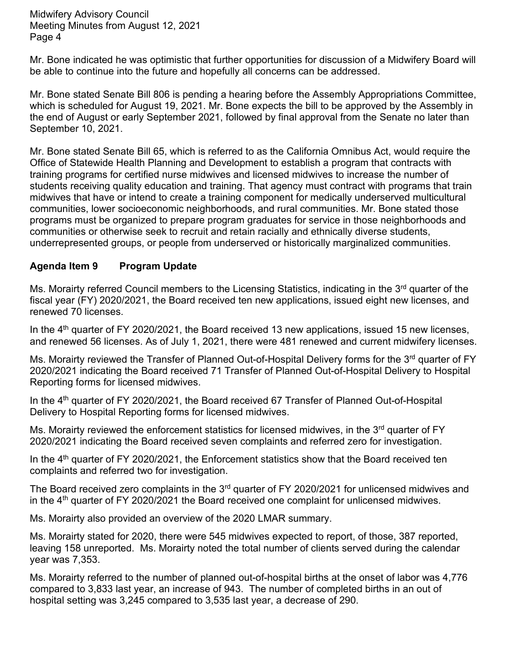Page 4 Midwifery Advisory Council Meeting Minutes from August 12, 2021

Mr. Bone indicated he was optimistic that further opportunities for discussion of a Midwifery Board will be able to continue into the future and hopefully all concerns can be addressed.

 the end of August or early September 2021, followed by final approval from the Senate no later than Mr. Bone stated Senate Bill 806 is pending a hearing before the Assembly Appropriations Committee, which is scheduled for August 19, 2021. Mr. Bone expects the bill to be approved by the Assembly in September 10, 2021.

 training programs for certified nurse midwives and licensed midwives to increase the number of students receiving quality education and training. That agency must contract with programs that train midwives that have or intend to create a training component for medically underserved multicultural Mr. Bone stated Senate Bill 65, which is referred to as the California Omnibus Act, would require the Office of Statewide Health Planning and Development to establish a program that contracts with communities, lower socioeconomic neighborhoods, and rural communities. Mr. Bone stated those programs must be organized to prepare program graduates for service in those neighborhoods and communities or otherwise seek to recruit and retain racially and ethnically diverse students, underrepresented groups, or people from underserved or historically marginalized communities.

## **Agenda Item 9 Program Update**

Ms. Morairty referred Council members to the Licensing Statistics, indicating in the 3<sup>rd</sup> quarter of the fiscal year (FY) 2020/2021, the Board received ten new applications, issued eight new licenses, and renewed 70 licenses.

In the 4<sup>th</sup> quarter of FY 2020/2021, the Board received 13 new applications, issued 15 new licenses, and renewed 56 licenses. As of July 1, 2021, there were 481 renewed and current midwifery licenses.

Ms. Morairty reviewed the Transfer of Planned Out-of-Hospital Delivery forms for the 3<sup>rd</sup> quarter of FY 2020/2021 indicating the Board received 71 Transfer of Planned Out-of-Hospital Delivery to Hospital Reporting forms for licensed midwives.

In the 4<sup>th</sup> quarter of FY 2020/2021, the Board received 67 Transfer of Planned Out-of-Hospital Delivery to Hospital Reporting forms for licensed midwives.

Ms. Morairty reviewed the enforcement statistics for licensed midwives, in the 3<sup>rd</sup> quarter of FY 2020/2021 indicating the Board received seven complaints and referred zero for investigation.

In the 4<sup>th</sup> quarter of FY 2020/2021, the Enforcement statistics show that the Board received ten complaints and referred two for investigation.

The Board received zero complaints in the 3<sup>rd</sup> quarter of FY 2020/2021 for unlicensed midwives and in the 4<sup>th</sup> quarter of FY 2020/2021 the Board received one complaint for unlicensed midwives.

Ms. Morairty also provided an overview of the 2020 LMAR summary.

year was 7,353. Ms. Morairty stated for 2020, there were 545 midwives expected to report, of those, 387 reported, leaving 158 unreported. Ms. Morairty noted the total number of clients served during the calendar

Ms. Morairty referred to the number of planned out-of-hospital births at the onset of labor was 4,776 compared to 3,833 last year, an increase of 943. The number of completed births in an out of hospital setting was 3,245 compared to 3,535 last year, a decrease of 290.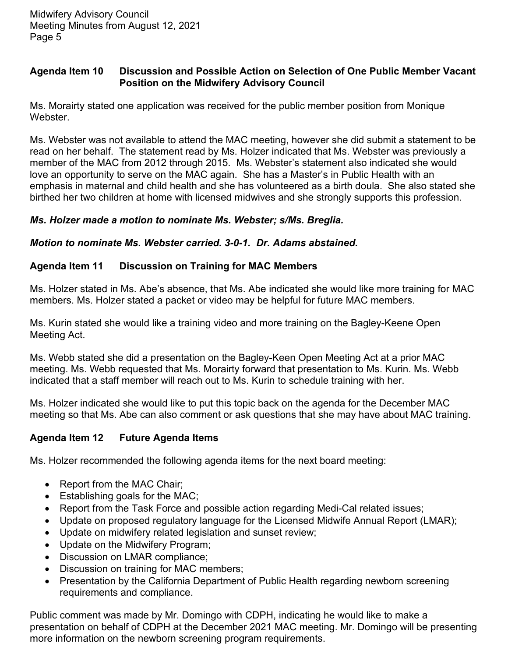## **Agenda Item 10 Discussion and Possible Action on Selection of One Public Member Vacant Position on the Midwifery Advisory Council**

Ms. Morairty stated one application was received for the public member position from Monique Webster.

 Ms. Webster was not available to attend the MAC meeting, however she did submit a statement to be read on her behalf. The statement read by Ms. Holzer indicated that Ms. Webster was previously a member of the MAC from 2012 through 2015. Ms. Webster's statement also indicated she would emphasis in maternal and child health and she has volunteered as a birth doula. She also stated she love an opportunity to serve on the MAC again. She has a Master's in Public Health with an birthed her two children at home with licensed midwives and she strongly supports this profession.

## *Ms. Holzer made a motion to nominate Ms. Webster; s/Ms. Breglia.*

## *Motion to nominate Ms. Webster carried. 3-0-1. Dr. Adams abstained.*

## **Agenda Item 11 Discussion on Training for MAC Members**

 Ms. Holzer stated in Ms. Abe's absence, that Ms. Abe indicated she would like more training for MAC members. Ms. Holzer stated a packet or video may be helpful for future MAC members.

Ms. Kurin stated she would like a training video and more training on the Bagley-Keene Open Meeting Act.

 indicated that a staff member will reach out to Ms. Kurin to schedule training with her. Ms. Webb stated she did a presentation on the Bagley-Keen Open Meeting Act at a prior MAC meeting. Ms. Webb requested that Ms. Morairty forward that presentation to Ms. Kurin. Ms. Webb

 meeting so that Ms. Abe can also comment or ask questions that she may have about MAC training. Ms. Holzer indicated she would like to put this topic back on the agenda for the December MAC

## **Agenda Item 12 Future Agenda Items**

Ms. Holzer recommended the following agenda items for the next board meeting:

- Report from the MAC Chair;
- Establishing goals for the MAC;
- Report from the Task Force and possible action regarding Medi-Cal related issues;
- Update on proposed regulatory language for the Licensed Midwife Annual Report (LMAR);
- Update on midwifery related legislation and sunset review;
- Update on the Midwifery Program;
- Discussion on LMAR compliance;
- Discussion on training for MAC members;
- • Presentation by the California Department of Public Health regarding newborn screening requirements and compliance.

 presentation on behalf of CDPH at the December 2021 MAC meeting. Mr. Domingo will be presenting Public comment was made by Mr. Domingo with CDPH, indicating he would like to make a more information on the newborn screening program requirements.